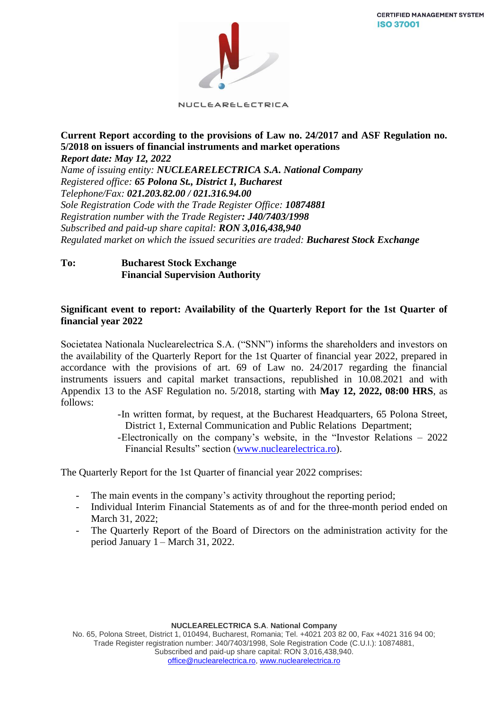**CERTIFIED MANAGEMENT SYSTEM ISO 37001** 



NUCLEARELECTRICA

### **Current Report according to the provisions of Law no. 24/2017 and ASF Regulation no. 5/2018 on issuers of financial instruments and market operations** *Report date: May 12, 2022*

*Name of issuing entity: NUCLEARELECTRICA S.A. National Company Registered office: 65 Polona St., District 1, Bucharest Telephone/Fax: 021.203.82.00 / 021.316.94.00 Sole Registration Code with the Trade Register Office: 10874881 Registration number with the Trade Register: J40/7403/1998 Subscribed and paid-up share capital: RON 3,016,438,940 Regulated market on which the issued securities are traded: Bucharest Stock Exchange*

## **To: Bucharest Stock Exchange Financial Supervision Authority**

## **Significant event to report: Availability of the Quarterly Report for the 1st Quarter of financial year 2022**

Societatea Nationala Nuclearelectrica S.A. ("SNN") informs the shareholders and investors on the availability of the Quarterly Report for the 1st Quarter of financial year 2022, prepared in accordance with the provisions of art. 69 of Law no. 24/2017 regarding the financial instruments issuers and capital market transactions, republished in 10.08.2021 and with Appendix 13 to the ASF Regulation no. 5/2018, starting with **May 12, 2022, 08:00 HRS**, as follows:

> -In written format, by request, at the Bucharest Headquarters, 65 Polona Street, District 1, External Communication and Public Relations Department;

> -Electronically on the company's website, in the "Investor Relations – 2022 Financial Results" section [\(www.nuclearelectrica.ro\)](http://www.nuclearelectrica.ro/).

The Quarterly Report for the 1st Quarter of financial year 2022 comprises:

- The main events in the company's activity throughout the reporting period;
- Individual Interim Financial Statements as of and for the three-month period ended on March 31, 2022;
- The Quarterly Report of the Board of Directors on the administration activity for the period January 1 – March 31, 2022.

**NUCLEARELECTRICA S.A**. **National Company**

No. 65, Polona Street, District 1, 010494, Bucharest, Romania; Tel. +4021 203 82 00, Fax +4021 316 94 00; Trade Register registration number: J40/7403/1998, Sole Registration Code (C.U.I.): 10874881, Subscribed and paid-up share capital: RON 3,016,438,940. [office@nuclearelectrica.ro,](mailto:office@nuclearelectrica.ro) [www.nuclearelectrica.ro](http://www.nuclearelectrica.ro/)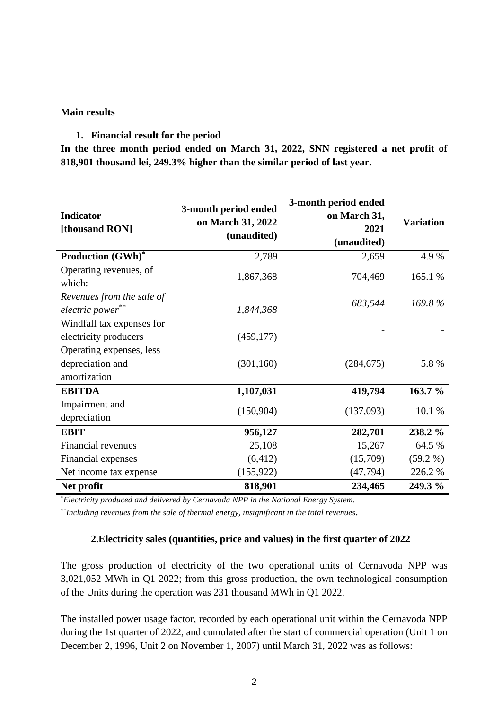### **Main results**

## **1. Financial result for the period**

**In the three month period ended on March 31, 2022, SNN registered a net profit of 818,901 thousand lei, 249.3% higher than the similar period of last year.** 

| <b>Indicator</b><br>[thousand RON]                 | 3-month period ended<br>on March 31, 2022<br>(unaudited) | 3-month period ended<br>on March 31,<br>2021<br>(unaudited) | <b>Variation</b> |
|----------------------------------------------------|----------------------------------------------------------|-------------------------------------------------------------|------------------|
| <b>Production (GWh)*</b>                           | 2,789                                                    | 2,659                                                       | 4.9%             |
| Operating revenues, of<br>which:                   | 1,867,368                                                | 704,469                                                     | 165.1 %          |
| Revenues from the sale of<br>electric power**      | 1,844,368                                                | 683,544                                                     | $169.8\%$        |
| Windfall tax expenses for<br>electricity producers | (459, 177)                                               |                                                             |                  |
| Operating expenses, less                           |                                                          |                                                             |                  |
| depreciation and<br>amortization                   | (301, 160)                                               | (284, 675)                                                  | 5.8 %            |
| <b>EBITDA</b>                                      | 1,107,031                                                | 419,794                                                     | 163.7 %          |
| Impairment and<br>depreciation                     | (150,904)                                                | (137,093)                                                   | 10.1 %           |
| <b>EBIT</b>                                        | 956,127                                                  | 282,701                                                     | 238.2 %          |
| Financial revenues                                 | 25,108                                                   | 15,267                                                      | 64.5 %           |
| Financial expenses                                 | (6, 412)                                                 | (15,709)                                                    | $(59.2\%)$       |
| Net income tax expense                             | (155, 922)                                               | (47, 794)                                                   | 226.2%           |
| Net profit                                         | 818,901                                                  | 234,465                                                     | 249.3 %          |

*\*Electricity produced and delivered by Cernavoda NPP in the National Energy System.*

*\*\*Including revenues from the sale of thermal energy, insignificant in the total revenues.*

# **2.Electricity sales (quantities, price and values) in the first quarter of 2022**

The gross production of electricity of the two operational units of Cernavoda NPP was 3,021,052 MWh in Q1 2022; from this gross production, the own technological consumption of the Units during the operation was 231 thousand MWh in Q1 2022.

The installed power usage factor, recorded by each operational unit within the Cernavoda NPP during the 1st quarter of 2022, and cumulated after the start of commercial operation (Unit 1 on December 2, 1996, Unit 2 on November 1, 2007) until March 31, 2022 was as follows: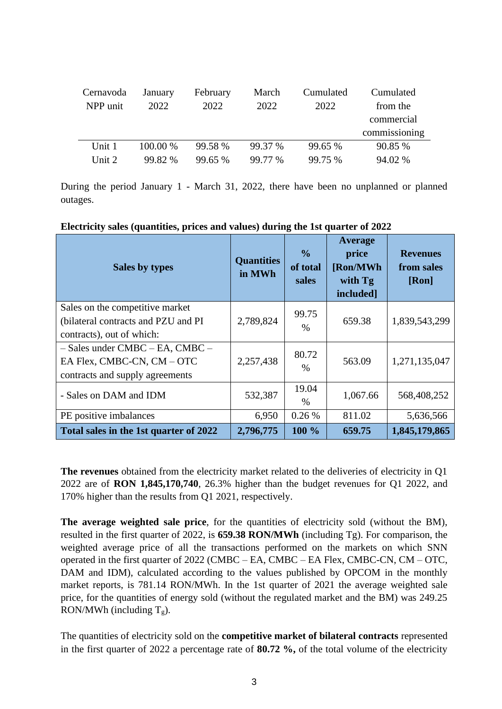| Cernavoda | January    | February | March   | Cumulated | Cumulated     |
|-----------|------------|----------|---------|-----------|---------------|
| NPP unit  | 2022       | 2022     | 2022    | 2022      | from the      |
|           |            |          |         |           | commercial    |
|           |            |          |         |           | commissioning |
| Unit 1    | $100.00\%$ | 99.58 %  | 99.37 % | 99.65 %   | 90.85 %       |
| Unit 2    | 99.82 %    | 99.65 %  | 99.77 % | 99.75 %   | 94.02 %       |

During the period January 1 - March 31, 2022, there have been no unplanned or planned outages.

**Electricity sales (quantities, prices and values) during the 1st quarter of 2022**

| Sales by types                                                                                       | <b>Quantities</b><br>in MWh | $\frac{0}{0}$<br>of total<br>sales | Average<br>price<br>[Ron/MWh]<br>with Tg<br>included] | <b>Revenues</b><br>from sales<br>[Ron] |
|------------------------------------------------------------------------------------------------------|-----------------------------|------------------------------------|-------------------------------------------------------|----------------------------------------|
| Sales on the competitive market<br>(bilateral contracts and PZU and PI)<br>contracts), out of which: | 2,789,824                   | 99.75<br>$\%$                      | 659.38                                                | 1,839,543,299                          |
| - Sales under CMBC - EA, CMBC -<br>EA Flex, CMBC-CN, CM - OTC<br>contracts and supply agreements     | 2,257,438                   | 80.72<br>$\frac{0}{0}$             | 563.09                                                | 1,271,135,047                          |
| - Sales on DAM and IDM                                                                               | 532,387                     | 19.04<br>%                         | 1,067.66                                              | 568,408,252                            |
| PE positive imbalances                                                                               | 6,950                       | 0.26%                              | 811.02                                                | 5,636,566                              |
| Total sales in the 1st quarter of 2022                                                               | 2,796,775                   | 100 %                              | 659.75                                                | 1,845,179,865                          |

**The revenues** obtained from the electricity market related to the deliveries of electricity in Q1 2022 are of **RON 1,845,170,740**, 26.3% higher than the budget revenues for Q1 2022, and 170% higher than the results from Q1 2021, respectively.

**The average weighted sale price**, for the quantities of electricity sold (without the BM), resulted in the first quarter of 2022, is **659.38 RON/MWh** (including Tg). For comparison, the weighted average price of all the transactions performed on the markets on which SNN operated in the first quarter of 2022 (CMBC – EA, CMBC – EA Flex, CMBC-CN, CM – OTC, DAM and IDM), calculated according to the values published by OPCOM in the monthly market reports, is 781.14 RON/MWh. In the 1st quarter of 2021 the average weighted sale price, for the quantities of energy sold (without the regulated market and the BM) was 249.25 RON/MWh (including  $T_g$ ).

The quantities of electricity sold on the **competitive market of bilateral contracts** represented in the first quarter of 2022 a percentage rate of **80.72 %,** of the total volume of the electricity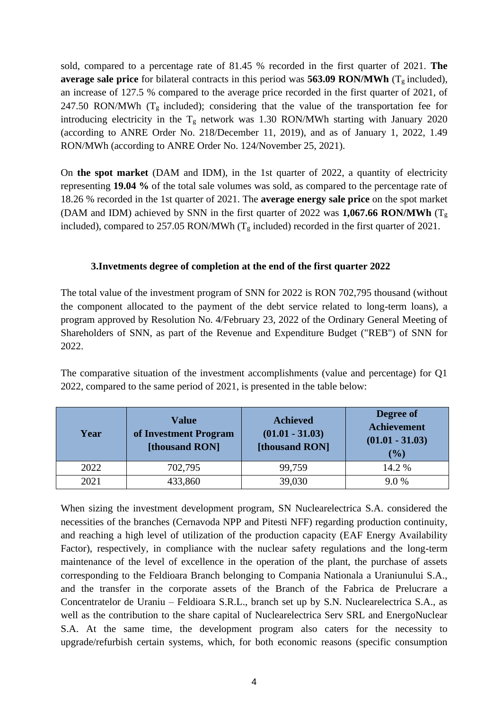sold, compared to a percentage rate of 81.45 % recorded in the first quarter of 2021. **The average sale price** for bilateral contracts in this period was **563.09 RON/MWh** ( $T_g$  included), an increase of 127.5 % compared to the average price recorded in the first quarter of 2021, of 247.50 RON/MWh ( $T_g$  included); considering that the value of the transportation fee for introducing electricity in the  $T_g$  network was 1.30 RON/MWh starting with January 2020 (according to ANRE Order No. 218/December 11, 2019), and as of January 1, 2022, 1.49 RON/MWh (according to ANRE Order No. 124/November 25, 2021).

On **the spot market** (DAM and IDM), in the 1st quarter of 2022, a quantity of electricity representing **19.04 %** of the total sale volumes was sold, as compared to the percentage rate of 18.26 % recorded in the 1st quarter of 2021. The **average energy sale price** on the spot market (DAM and IDM) achieved by SNN in the first quarter of 2022 was **1,067.66 RON/MWh** ( $T_g$ ) included), compared to 257.05 RON/MWh ( $T_g$  included) recorded in the first quarter of 2021.

# **3.Invetments degree of completion at the end of the first quarter 2022**

The total value of the investment program of SNN for 2022 is RON 702,795 thousand (without the component allocated to the payment of the debt service related to long-term loans), a program approved by Resolution No. 4/February 23, 2022 of the Ordinary General Meeting of Shareholders of SNN, as part of the Revenue and Expenditure Budget ("REB") of SNN for 2022.

The comparative situation of the investment accomplishments (value and percentage) for Q1 2022, compared to the same period of 2021, is presented in the table below:

| Year | <b>Value</b><br>of Investment Program<br>[thousand RON] | <b>Achieved</b><br>$(01.01 - 31.03)$<br>[thousand RON] | Degree of<br><b>Achievement</b><br>$(01.01 - 31.03)$<br>(%) |
|------|---------------------------------------------------------|--------------------------------------------------------|-------------------------------------------------------------|
| 2022 | 702,795                                                 | 99,759                                                 | 14.2 %                                                      |
| 2021 | 433,860                                                 | 39,030                                                 | 9.0%                                                        |

When sizing the investment development program, SN Nuclearelectrica S.A. considered the necessities of the branches (Cernavoda NPP and Pitesti NFF) regarding production continuity, and reaching a high level of utilization of the production capacity (EAF Energy Availability Factor), respectively, in compliance with the nuclear safety regulations and the long-term maintenance of the level of excellence in the operation of the plant, the purchase of assets corresponding to the Feldioara Branch belonging to Compania Nationala a Uraniunului S.A., and the transfer in the corporate assets of the Branch of the Fabrica de Prelucrare a Concentratelor de Uraniu – Feldioara S.R.L., branch set up by S.N. Nuclearelectrica S.A., as well as the contribution to the share capital of Nuclearelectrica Serv SRL and EnergoNuclear S.A. At the same time, the development program also caters for the necessity to upgrade/refurbish certain systems, which, for both economic reasons (specific consumption